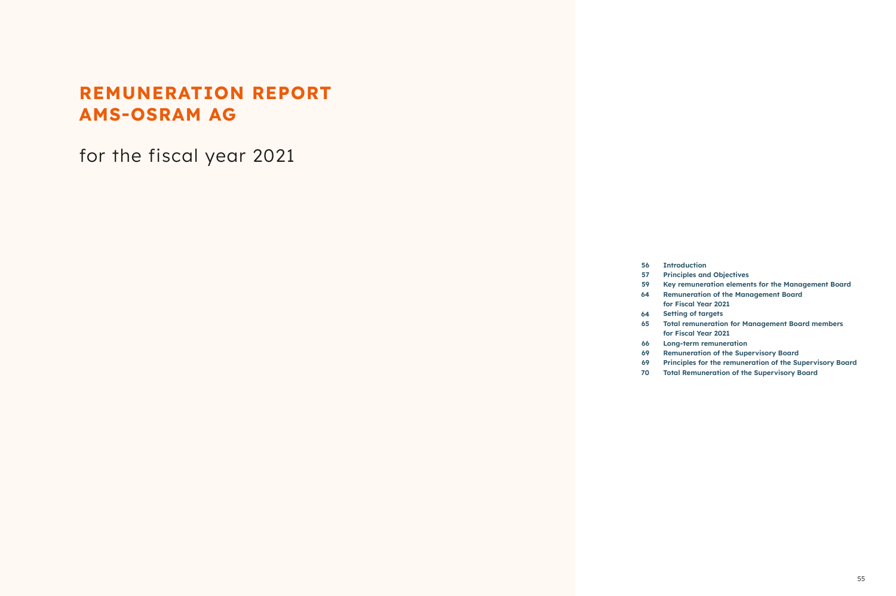# **REMUNERATION REPORT AMS-OSRAM AG**

for the fiscal year 2021

| 56  | Intr            |
|-----|-----------------|
|     |                 |
| 57  | Prin            |
| 59  | Key             |
| 64  | Rem             |
|     | for $\mathsf I$ |
| 64  | <b>Sett</b>     |
| 65  | <b>Toto</b>     |
|     | for I           |
| 66  | Long            |
| 69  | Rem             |
| -69 | Prin            |
| 70  | <b>Toto</b>     |
|     |                 |

- **roduction**
- **Principles and Objectives**
- **Key remuneration elements for the Management Board**
- **Remuneration of the Management Board**
- **Fiscal Year 2021**
- **Setting of targets**
- **Total remuneration for Management Board members**
- **Fiscal Year 2021**
- **Long-term remuneration**
- **Remuneration of the Supervisory Board**
- **Principles for the remuneration of the Supervisory Board**
- **Total Remuneration of the Supervisory Board**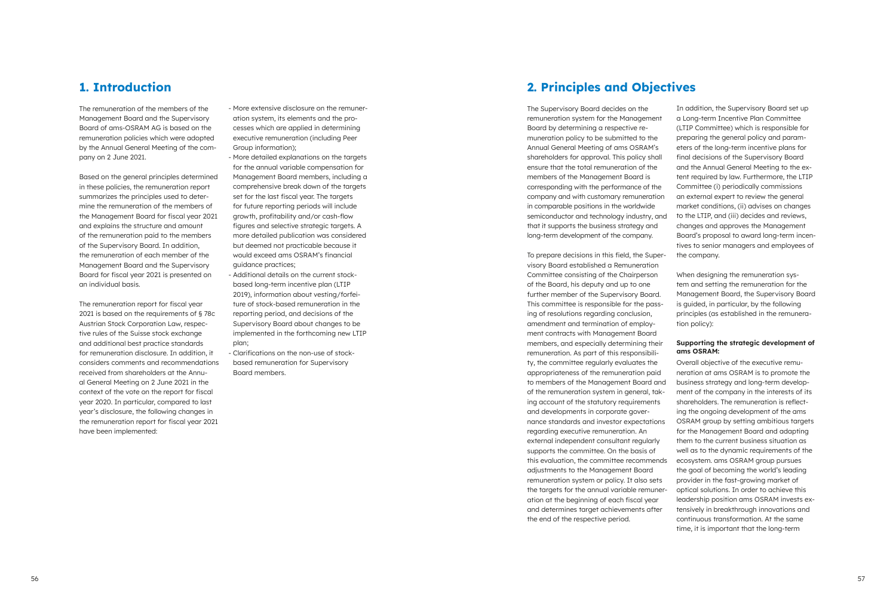### **1. Introduction**

The remuneration of the members of the Management Board and the Supervisory Board of ams-OSRAM AG is based on the remuneration policies which were adopted by the Annual General Meeting of the company on 2 June 2021.

Based on the general principles determined in these policies, the remuneration report summarizes the principles used to determine the remuneration of the members of the Management Board for fiscal year 2021 and explains the structure and amount of the remuneration paid to the members of the Supervisory Board. In addition, the remuneration of each member of the Management Board and the Supervisory Board for fiscal year 2021 is presented on an individual basis.

The remuneration report for fiscal year 2021 is based on the requirements of § 78c Austrian Stock Corporation Law, respective rules of the Suisse stock exchange and additional best practice standards for remuneration disclosure. In addition, it considers comments and recommendations received from shareholders at the Annual General Meeting on 2 June 2021 in the context of the vote on the report for fiscal year 2020. In particular, compared to last year's disclosure, the following changes in the remuneration report for fiscal year 2021 have been implemented:

- More extensive disclosure on the remuneration system, its elements and the processes which are applied in determining executive remuneration (including Peer Group information);
- More detailed explanations on the targets for the annual variable compensation for Management Board members, including a comprehensive break down of the targets set for the last fiscal year. The targets for future reporting periods will include growth, profitability and/or cash-flow figures and selective strategic targets. A more detailed publication was considered but deemed not practicable because it would exceed ams OSRAM's financial guidance practices;
- Additional details on the current stockbased long-term incentive plan (LTIP 2019), information about vesting/forfeiture of stock-based remuneration in the reporting period, and decisions of the Supervisory Board about changes to be implemented in the forthcoming new LTIP plan;
- Clarifications on the non-use of stockbased remuneration for Supervisory Board members.

## **2. Principles and Objectives**

The Supervisory Board decides on the remuneration system for the Management Board by determining a respective remuneration policy to be submitted to the Annual General Meeting of ams OSRAM's shareholders for approval. This policy shall ensure that the total remuneration of the members of the Management Board is corresponding with the performance of the company and with customary remuneration in comparable positions in the worldwide semiconductor and technology industry, and that it supports the business strategy and long-term development of the company.

To prepare decisions in this field, the Supervisory Board established a Remuneration Committee consisting of the Chairperson of the Board, his deputy and up to one further member of the Supervisory Board. This committee is responsible for the passing of resolutions regarding conclusion, amendment and termination of employment contracts with Management Board members, and especially determining their remuneration. As part of this responsibility, the committee regularly evaluates the appropriateness of the remuneration paid to members of the Management Board and of the remuneration system in general, taking account of the statutory requirements and developments in corporate governance standards and investor expectations regarding executive remuneration. An external independent consultant regularly supports the committee. On the basis of this evaluation, the committee recommends adjustments to the Management Board remuneration system or policy. It also sets the targets for the annual variable remuneration at the beginning of each fiscal year and determines target achievements after the end of the respective period.

In addition, the Supervisory Board set up a Long-term Incentive Plan Committee (LTIP Committee) which is responsible for preparing the general policy and parameters of the long-term incentive plans for final decisions of the Supervisory Board and the Annual General Meeting to the extent required by law. Furthermore, the LTIP Committee (i) periodically commissions an external expert to review the general market conditions, (ii) advises on changes to the LTIP, and (iii) decides and reviews, changes and approves the Management Board's proposal to award long-term incentives to senior managers and employees of the company.

When designing the remuneration system and setting the remuneration for the Management Board, the Supervisory Board is guided, in particular, by the following principles (as established in the remuneration policy):

#### **Supporting the strategic development of ams OSRAM:**

Overall objective of the executive remuneration at ams OSRAM is to promote the business strategy and long-term development of the company in the interests of its shareholders. The remuneration is reflecting the ongoing development of the ams OSRAM group by setting ambitious targets for the Management Board and adapting them to the current business situation as well as to the dynamic requirements of the ecosystem. ams OSRAM group pursues the goal of becoming the world's leading provider in the fast-growing market of optical solutions. In order to achieve this leadership position ams OSRAM invests extensively in breakthrough innovations and continuous transformation. At the same time, it is important that the long-term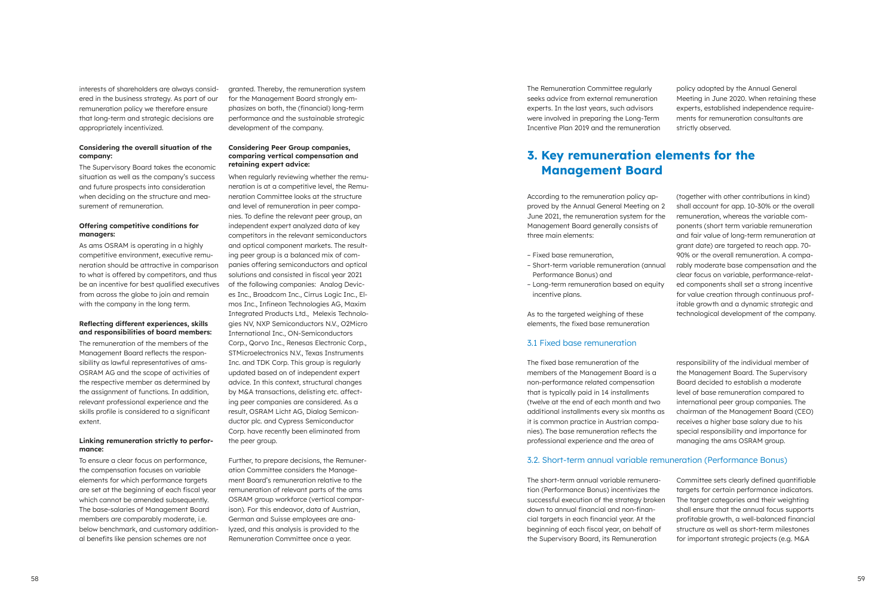58 59

interests of shareholders are always considered in the business strategy. As part of our remuneration policy we therefore ensure that long-term and strategic decisions are appropriately incentivized.

#### **Considering the overall situation of the company:**

As ams OSRAM is operating in a highly competitive environment, executive remuneration should be attractive in comparison to what is offered by competitors, and thus be an incentive for best qualified executives from across the globe to join and remain with the company in the long term.

The Supervisory Board takes the economic situation as well as the company's success and future prospects into consideration when deciding on the structure and measurement of remuneration.

#### **Offering competitive conditions for managers:**

#### **Reflecting different experiences, skills and responsibilities of board members:**

The remuneration of the members of the Management Board reflects the responsibility as lawful representatives of ams-OSRAM AG and the scope of activities of the respective member as determined by the assignment of functions. In addition, relevant professional experience and the skills profile is considered to a significant extent.

#### **Linking remuneration strictly to performance:**

To ensure a clear focus on performance, the compensation focuses on variable elements for which performance targets are set at the beginning of each fiscal year which cannot be amended subsequently. The base-salaries of Management Board members are comparably moderate, i.e. below benchmark, and customary additional benefits like pension schemes are not

granted. Thereby, the remuneration system for the Management Board strongly emphasizes on both, the (financial) long-term performance and the sustainable strategic development of the company.

#### **Considering Peer Group companies, comparing vertical compensation and retaining expert advice:**

When regularly reviewing whether the remuneration is at a competitive level, the Remuneration Committee looks at the structure and level of remuneration in peer companies. To define the relevant peer group, an independent expert analyzed data of key competitors in the relevant semiconductors and optical component markets. The resulting peer group is a balanced mix of companies offering semiconductors and optical solutions and consisted in fiscal year 2021 of the following companies: Analog Devices Inc., Broadcom Inc., Cirrus Logic Inc., Elmos Inc., Infineon Technologies AG, Maxim Integrated Products Ltd., Melexis Technologies NV, NXP Semiconductors N.V., O2Micro International Inc., ON-Semiconductors Corp., Qorvo Inc., Renesas Electronic Corp., STMicroelectronics N.V., Texas Instruments Inc. and TDK Corp. This group is regularly updated based on of independent expert advice. In this context, structural changes by M&A transactions, delisting etc. affecting peer companies are considered. As a result, OSRAM Licht AG, Dialog Semiconductor plc. and Cypress Semiconductor Corp. have recently been eliminated from the peer group.

Further, to prepare decisions, the Remuneration Committee considers the Management Board's remuneration relative to the remuneration of relevant parts of the ams OSRAM group workforce (vertical comparison). For this endeavor, data of Austrian, German and Suisse employees are analyzed, and this analysis is provided to the Remuneration Committee once a year.

The Remuneration Committee regularly seeks advice from external remuneration experts. In the last years, such advisors were involved in preparing the Long-Term Incentive Plan 2019 and the remuneration

policy adopted by the Annual General Meeting in June 2020. When retaining these experts, established independence requirements for remuneration consultants are strictly observed.

### **3. Key remuneration elements for the Management Board**

According to the remuneration policy approved by the Annual General Meeting on 2 June 2021, the remuneration system for the Management Board generally consists of three main elements:

- Fixed base remuneration,
- Short-term variable remuneration (annual Performance Bonus) and
- Long-term remuneration based on equity incentive plans.

As to the targeted weighing of these elements, the fixed base remuneration (together with other contributions in kind) shall account for app. 10-30% or the overall remuneration, whereas the variable components (short term variable remuneration and fair value of long-term remuneration at grant date) are targeted to reach app. 70- 90% or the overall remuneration. A comparably moderate base compensation and the clear focus on variable, performance-related components shall set a strong incentive for value creation through continuous profitable growth and a dynamic strategic and technological development of the company.

#### 3.1 Fixed base remuneration

The fixed base remuneration of the members of the Management Board is a non-performance related compensation that is typically paid in 14 installments (twelve at the end of each month and two additional installments every six months as it is common practice in Austrian companies). The base remuneration reflects the professional experience and the area of

responsibility of the individual member of the Management Board. The Supervisory Board decided to establish a moderate level of base remuneration compared to international peer group companies. The chairman of the Management Board (CEO) receives a higher base salary due to his special responsibility and importance for managing the ams OSRAM group.

#### 3.2. Short-term annual variable remuneration (Performance Bonus)

The short-term annual variable remuneration (Performance Bonus) incentivizes the successful execution of the strategy broken down to annual financial and non-financial targets in each financial year. At the beginning of each fiscal year, on behalf of the Supervisory Board, its Remuneration Committee sets clearly defined quantifiable targets for certain performance indicators. The target categories and their weighting shall ensure that the annual focus supports profitable growth, a well-balanced financial structure as well as short-term milestones for important strategic projects (e.g. M&A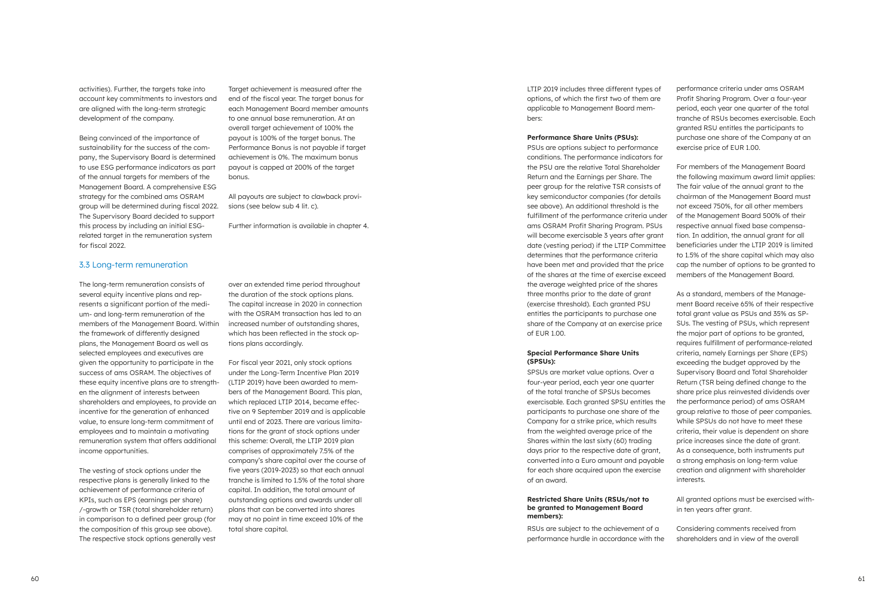activities). Further, the targets take into account key commitments to investors and are aligned with the long-term strategic development of the company.

Being convinced of the importance of sustainability for the success of the company, the Supervisory Board is determined to use ESG performance indicators as part of the annual targets for members of the Management Board. A comprehensive ESG strategy for the combined ams OSRAM group will be determined during fiscal 2022. The Supervisory Board decided to support this process by including an initial ESGrelated target in the remuneration system for fiscal 2022.

Target achievement is measured after the end of the fiscal year. The target bonus for each Management Board member amounts to one annual base remuneration. At an overall target achievement of 100% the payout is 100% of the target bonus. The Performance Bonus is not payable if target achievement is 0%. The maximum bonus payout is capped at 200% of the target bonus.

All payouts are subject to clawback provisions (see below sub 4 lit. c).

Further information is available in chapter 4.

#### 3.3 Long-term remuneration

The long-term remuneration consists of several equity incentive plans and represents a significant portion of the medium- and long-term remuneration of the members of the Management Board. Within the framework of differently designed plans, the Management Board as well as selected employees and executives are given the opportunity to participate in the success of ams OSRAM. The objectives of these equity incentive plans are to strengthen the alignment of interests between shareholders and employees, to provide an incentive for the generation of enhanced value, to ensure long-term commitment of employees and to maintain a motivating remuneration system that offers additional income opportunities.

The vesting of stock options under the respective plans is generally linked to the achievement of performance criteria of KPIs, such as EPS (earnings per share) /-growth or TSR (total shareholder return) in comparison to a defined peer group (for the composition of this group see above). The respective stock options generally vest

over an extended time period throughout the duration of the stock options plans. The capital increase in 2020 in connection with the OSRAM transaction has led to an increased number of outstanding shares, which has been reflected in the stock options plans accordingly.

For fiscal year 2021, only stock options under the Long-Term Incentive Plan 2019 (LTIP 2019) have been awarded to members of the Management Board. This plan, which replaced LTIP 2014, became effective on 9 September 2019 and is applicable until end of 2023. There are various limitations for the grant of stock options under this scheme: Overall, the LTIP 2019 plan comprises of approximately 7.5% of the company's share capital over the course of five years (2019-2023) so that each annual tranche is limited to 1.5% of the total share capital. In addition, the total amount of outstanding options and awards under all plans that can be converted into shares may at no point in time exceed 10% of the total share capital.

LTIP 2019 includes three different types of options, of which the first two of them are applicable to Management Board members:

#### **Performance Share Units (PSUs):**

PSUs are options subject to performance conditions. The performance indicators for the PSU are the relative Total Shareholder Return and the Earnings per Share. The peer group for the relative TSR consists of key semiconductor companies (for details see above). An additional threshold is the fulfillment of the performance criteria under ams OSRAM Profit Sharing Program. PSUs will become exercisable 3 years after grant date (vesting period) if the LTIP Committee determines that the performance criteria have been met and provided that the price of the shares at the time of exercise exceed the average weighted price of the shares three months prior to the date of grant (exercise threshold). Each granted PSU entitles the participants to purchase one share of the Company at an exercise price of EUR 1.00.

#### **Special Performance Share Units (SPSUs):**

SPSUs are market value options. Over a four-year period, each year one quarter of the total tranche of SPSUs becomes exercisable. Each granted SPSU entitles the participants to purchase one share of the Company for a strike price, which results from the weighted average price of the Shares within the last sixty (60) trading days prior to the respective date of grant, converted into a Euro amount and payable for each share acquired upon the exercise of an award.

#### **Restricted Share Units (RSUs/not to be granted to Management Board members):**

RSUs are subject to the achievement of a performance hurdle in accordance with the

performance criteria under ams OSRAM Profit Sharing Program. Over a four-year period, each year one quarter of the total tranche of RSUs becomes exercisable. Each granted RSU entitles the participants to purchase one share of the Company at an exercise price of EUR 1.00.

For members of the Management Board the following maximum award limit applies: The fair value of the annual grant to the chairman of the Management Board must not exceed 750%, for all other members of the Management Board 500% of their respective annual fixed base compensation. In addition, the annual grant for all beneficiaries under the LTIP 2019 is limited to 1.5% of the share capital which may also cap the number of options to be granted to members of the Management Board.

As a standard, members of the Management Board receive 65% of their respective total grant value as PSUs and 35% as SP-SUs. The vesting of PSUs, which represent the major part of options to be granted, requires fulfillment of performance-related criteria, namely Earnings per Share (EPS) exceeding the budget approved by the Supervisory Board and Total Shareholder Return (TSR being defined change to the share price plus reinvested dividends over the performance period) of ams OSRAM group relative to those of peer companies. While SPSUs do not have to meet these criteria, their value is dependent on share price increases since the date of grant. As a consequence, both instruments put a strong emphasis on long-term value creation and alignment with shareholder interests.

All granted options must be exercised within ten years after grant.

Considering comments received from shareholders and in view of the overall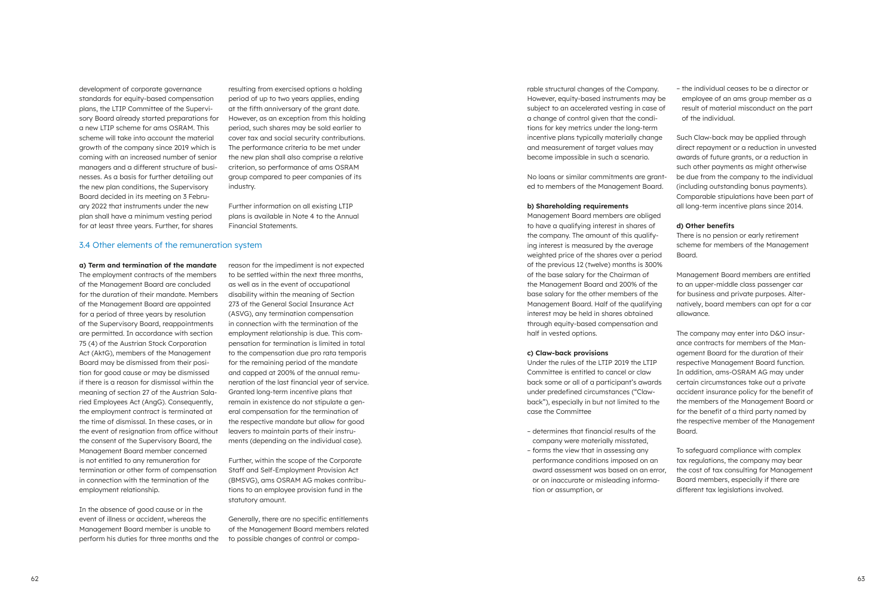development of corporate governance standards for equity-based compensation plans, the LTIP Committee of the Supervisory Board already started preparations for a new LTIP scheme for ams OSRAM. This scheme will take into account the material growth of the company since 2019 which is coming with an increased number of senior managers and a different structure of businesses. As a basis for further detailing out the new plan conditions, the Supervisory Board decided in its meeting on 3 February 2022 that instruments under the new plan shall have a minimum vesting period for at least three years. Further, for shares

resulting from exercised options a holding period of up to two years applies, ending at the fifth anniversary of the grant date. However, as an exception from this holding period, such shares may be sold earlier to cover tax and social security contributions. The performance criteria to be met under the new plan shall also comprise a relative criterion, so performance of ams OSRAM group compared to peer companies of its industry.

Further information on all existing LTIP plans is available in Note 4 to the Annual Financial Statements.

#### 3.4 Other elements of the remuneration system

**a) Term and termination of the mandate**  The employment contracts of the members of the Management Board are concluded for the duration of their mandate. Members of the Management Board are appointed for a period of three years by resolution of the Supervisory Board, reappointments are permitted. In accordance with section 75 (4) of the Austrian Stock Corporation Act (AktG), members of the Management Board may be dismissed from their position for good cause or may be dismissed if there is a reason for dismissal within the meaning of section 27 of the Austrian Salaried Employees Act (AngG). Consequently, the employment contract is terminated at the time of dismissal. In these cases, or in the event of resignation from office without the consent of the Supervisory Board, the Management Board member concerned is not entitled to any remuneration for termination or other form of compensation in connection with the termination of the employment relationship.

In the absence of good cause or in the event of illness or accident, whereas the Management Board member is unable to perform his duties for three months and the reason for the impediment is not expected to be settled within the next three months, as well as in the event of occupational disability within the meaning of Section 273 of the General Social Insurance Act (ASVG), any termination compensation in connection with the termination of the employment relationship is due. This compensation for termination is limited in total to the compensation due pro rata temporis for the remaining period of the mandate and capped at 200% of the annual remuneration of the last financial year of service. Granted long-term incentive plans that remain in existence do not stipulate a general compensation for the termination of the respective mandate but allow for good leavers to maintain parts of their instruments (depending on the individual case).

Further, within the scope of the Corporate Staff and Self-Employment Provision Act (BMSVG), ams OSRAM AG makes contributions to an employee provision fund in the statutory amount.

Generally, there are no specific entitlements of the Management Board members related to possible changes of control or compa-

rable structural changes of the Company. However, equity-based instruments may be subject to an accelerated vesting in case of a change of control given that the conditions for key metrics under the long-term incentive plans typically materially change and measurement of target values may become impossible in such a scenario.

No loans or similar commitments are granted to members of the Management Board.

#### **b) Shareholding requirements**

Management Board members are obliged to have a qualifying interest in shares of the company. The amount of this qualifying interest is measured by the average weighted price of the shares over a period of the previous 12 (twelve) months is 300% of the base salary for the Chairman of the Management Board and 200% of the base salary for the other members of the Management Board. Half of the qualifying interest may be held in shares obtained through equity-based compensation and half in vested options.

#### **c) Claw-back provisions**

Under the rules of the LTIP 2019 the LTIP Committee is entitled to cancel or claw back some or all of a participant's awards under predefined circumstances ("Clawback"), especially in but not limited to the case the Committee

- determines that financial results of the company were materially misstated,
- forms the view that in assessing any performance conditions imposed on an award assessment was based on an error, or on inaccurate or misleading information or assumption, or

– the individual ceases to be a director or employee of an ams group member as a result of material misconduct on the part of the individual.

Such Claw-back may be applied through direct repayment or a reduction in unvested awards of future grants, or a reduction in such other payments as might otherwise be due from the company to the individual (including outstanding bonus payments). Comparable stipulations have been part of all long-term incentive plans since 2014.

#### **d) Other benefits**

There is no pension or early retirement scheme for members of the Management Board.

Management Board members are entitled to an upper-middle class passenger car for business and private purposes. Alternatively, board members can opt for a car allowance.

The company may enter into D&O insurance contracts for members of the Management Board for the duration of their respective Management Board function. In addition, ams-OSRAM AG may under certain circumstances take out a private accident insurance policy for the benefit of the members of the Management Board or for the benefit of a third party named by the respective member of the Management Board.

To safeguard compliance with complex tax regulations, the company may bear the cost of tax consulting for Management Board members, especially if there are different tax legislations involved.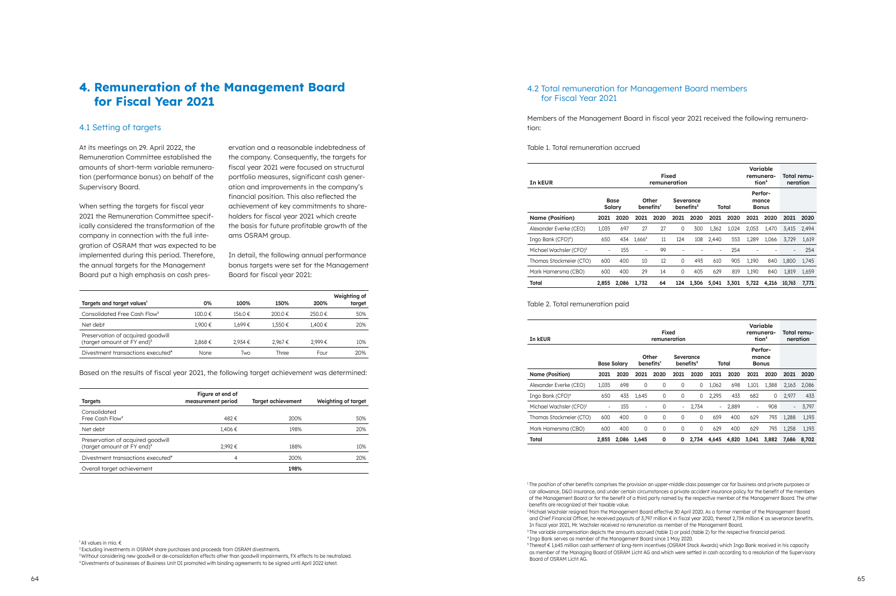### **4. Remuneration of the Management Board for Fiscal Year 2021**

#### 4.1 Setting of targets

At its meetings on 29. April 2022, the Remuneration Committee established the amounts of short-term variable remunera tion (performance bonus) on behalf of the Supervisory Board.

When setting the targets for fiscal year 2021 the Remuneration Committee specif ically considered the transformation of the company in connection with the full inte gration of OSRAM that was expected to be implemented during this period. Therefore, the annual targets for the Management Board put a high emphasis on cash pres -

ervation and a reasonable indebtedness of the company. Consequently, the targets for fiscal year 2021 were focused on structural portfolio measures, significant cash gener ation and improvements in the company's financial position. This also reflected the achievement of key commitments to share holders for fiscal year 2021 which create the basis for future profitable growth of the ams OSRAM group.

In detail, the following annual performance bonus targets were set for the Management Board for fiscal year 2021:

<sup>3</sup> Without considering new goodwill or de-consolidation effects other than goodwill impairments, FX effects to be neutralized. 4 Divestments of businesses of Business Unit DI promoted with binding agreements to be signed until April 2022 latest.

| Targets and target values <sup>1</sup>                                      | 0%      | 100%    | 150%    | 200%   | Weighting of<br>target |
|-----------------------------------------------------------------------------|---------|---------|---------|--------|------------------------|
| Consolidated Free Cash Flow <sup>2</sup>                                    | 100.0 € | 156.0€  | 200.0 € | 250.0€ | 50%                    |
| Net debt                                                                    | 1.900€  | 1.699€  | 1.550€  | 1.400€ | 20%                    |
| Preservation of acquired goodwill<br>(target amount at FY end) <sup>3</sup> | 2.868€  | 2.934 € | 2.967€  | 2.999€ | 10%                    |
| Divestment transactions executed <sup>4</sup>                               | None    | Two     | Three   | Four   | 20%                    |

Based on the results of fiscal year 2021, the following target achievement was determined:

| <b>Targets</b>                                                              | Figure at end of<br>measurement period | Target achievement | Weighting of target |
|-----------------------------------------------------------------------------|----------------------------------------|--------------------|---------------------|
| Consolidated<br>Free Cash Flow <sup>2</sup>                                 | 482€                                   | 200%               | 50%                 |
| Net debt                                                                    | 1,406€                                 | 198%               | 20%                 |
| Preservation of acquired goodwill<br>(target amount at FY end) <sup>3</sup> | 2.992€                                 | 188%               | 10%                 |
| Divestment transactions executed <sup>4</sup>                               | 4                                      | 200%               | 20%                 |
| Overall target achievement                                                  |                                        | 198%               |                     |

<sup>1</sup> All values in mio. €

2 Excluding investments in OSRAM share purchases and proceeds from OSRAM divestments.

<sup>1</sup>The position of other benefits comprises the provision an upper-middle class passenger car for business and private purposes or car allowance, D&O insurance, and under certain circumstances a private accident insurance policy for the benefit of the members of the Management Board or for the benefit of a third party named by the respective member of the Management Board. The other benefits are recognized at their taxable value.

### 4.2 Total remuneration for Management Board members for Fiscal Year 2021

Members of the Management Board in fiscal year 2021 received the following remunera tion:

Table 1. Total remuneration accrued

<sup>2</sup> Michael Wachsler resigned from the Management Board effective 30 April 2020. As a former member of the Management Board and Chief Financial Officer, he received payouts of 3,797 million € in fiscal year 2020, thereof 2,734 million € as severance benefits. In fiscal year 2021, Mr. Wachsler received no remuneration as member of the Management Board. <sup>3</sup>The variable compensation depicts the amounts accrued (table 1) or paid (table 2) for the respective financial period. 4 Ingo Bank serves as member of the Management Board since 1 May 2020. 5 Thereof € 1,645 million cash settlement of long-term incentives (OSRAM Stock Awards) which Ingo Bank received in his capacity as member of the Managing Board of OSRAM Licht AG and which were settled in cash according to a resolution of the Supervisory Board of OSRAM Licht AG.

| In kEUR                             | Variable<br>Fixed<br>remunera-<br>tion <sup>3</sup><br>remuneration |                                                                                            |                              |      |                |       |       |                                         |       |       | Total remu-<br>neration |       |
|-------------------------------------|---------------------------------------------------------------------|--------------------------------------------------------------------------------------------|------------------------------|------|----------------|-------|-------|-----------------------------------------|-------|-------|-------------------------|-------|
|                                     |                                                                     | Other<br><b>Base</b><br>Severance<br>benefits <sup>2</sup><br>Salary<br>benefits'<br>Total |                              |      |                |       |       | <b>Perfor-</b><br>mance<br><b>Bonus</b> |       |       |                         |       |
| <b>Name (Position)</b>              | 2021                                                                | 2020                                                                                       | 2021                         | 2020 | 2021           | 2020  | 2021  | 2020                                    | 2021  | 2020  | 2021                    | 2020  |
| Alexander Everke (CEO)              | 1.035                                                               | 697                                                                                        | 27                           | 27   | 0              | 300   | 1.362 | 1.024                                   | 2.053 | 1,470 | 3.415                   | 2.494 |
| Ingo Bank (CFO) <sup>4</sup> )      | 650                                                                 | 434                                                                                        | 1,666 <sup>5</sup>           | 11   | 124            | 108   | 2.440 | 553                                     | 1.289 | 1.066 | 3.729                   | 1,619 |
| Michael Wachsler (CFO) <sup>2</sup> | $\overline{\phantom{a}}$                                            | 155                                                                                        | $\qquad \qquad \blacksquare$ | 99   | $\overline{a}$ |       |       | 254                                     |       |       |                         | 254   |
| Thomas Stockmeier (CTO)             | 600                                                                 | 400                                                                                        | 10                           | 12   | 0              | 493   | 610   | 905                                     | 1,190 | 840   | 1,800                   | 1,745 |
| Mark Hamersma (CBO)                 | 600                                                                 | 400                                                                                        | 29                           | 14   | 0              | 405   | 629   | 819                                     | 1,190 | 840   | 1,819                   | 1,659 |
| Total                               | 2,855                                                               | 2.086                                                                                      | 1.732                        | 64   | 124            | 1.306 | 5,041 | 3,301                                   | 5,722 | 4.216 | 10.763                  | 7.771 |

#### Table 2. Total remuneration paid

| Variable<br>Fixed<br>remunera-<br>tion <sup>3</sup><br>In kEUR<br>remuneration |                          |                    |                                                                   |      |                          |             |                          |                                  |                          |       |       | Total remu-<br>neration |
|--------------------------------------------------------------------------------|--------------------------|--------------------|-------------------------------------------------------------------|------|--------------------------|-------------|--------------------------|----------------------------------|--------------------------|-------|-------|-------------------------|
|                                                                                |                          | <b>Base Salary</b> | Other<br>Severance<br>benefits'<br>benefits <sup>2</sup><br>Total |      |                          |             |                          | Perfor-<br>mance<br><b>Bonus</b> |                          |       |       |                         |
| <b>Name (Position)</b>                                                         | 2021                     | 2020               | 2021                                                              | 2020 | 2021                     | 2020        | 2021                     | 2020                             | 2021                     | 2020  | 2021  | 2020                    |
| Alexander Everke (CEO)                                                         | 1.035                    | 698                | $\mathbf 0$                                                       | 0    | $\mathbf 0$              | 0           | 1,062                    | 698                              | 1,101                    | 1,388 | 2,163 | 2,086                   |
| Ingo Bank (CFO) <sup>4</sup>                                                   | 650                      | 433                | 1,645                                                             | 0    | 0                        | 0           | 2,295                    | 433                              | 682                      | 0     | 2,977 | 433                     |
| Michael Wachsler (CFO) <sup>2</sup>                                            | $\overline{\phantom{a}}$ | 155                | $\overline{\phantom{a}}$                                          | 0    | $\overline{\phantom{0}}$ | 2,734       | $\overline{\phantom{0}}$ | 2,889                            | $\overline{\phantom{a}}$ | 908   | -     | 3,797                   |
| Thomas Stockmeier (CTO)                                                        | 600                      | 400                | $\mathbf 0$                                                       | 0    | 0                        | $\mathbf 0$ | 659                      | 400                              | 629                      | 793   | 1.288 | 1,193                   |
| Mark Hamersma (CBO)                                                            | 600                      | 400                | $\mathbf 0$                                                       | 0    | 0                        | 0           | 629                      | 400                              | 629                      | 793   | 1,258 | 1,193                   |
| Total                                                                          | 2,855                    | 2,086              | 1.645                                                             | 0    | 0                        | 2.734       | 4.645                    | 4,820                            | 3,041                    | 3.882 | 7.686 | 8.702                   |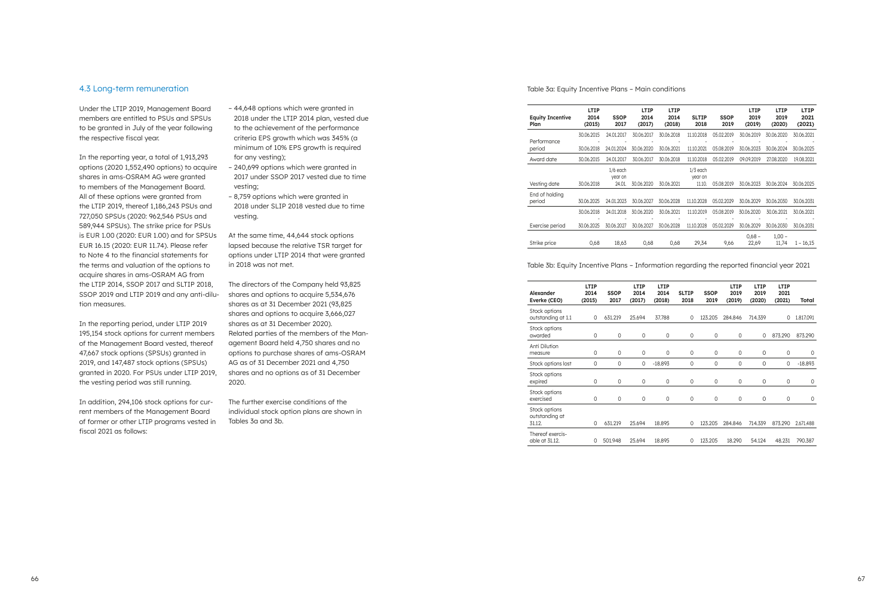#### 4.3 Long-term remuneration

Under the LTIP 2019, Management Board members are entitled to PSUs and SPSUs to be granted in July of the year following the respective fiscal year.

In the reporting year, a total of 1,913,293 options (2020 1,552,490 options) to acquire shares in ams-OSRAM AG were granted to members of the Management Board. All of these options were granted from the LTIP 2019, thereof 1,186,243 PSUs and 727,050 SPSUs (2020: 962,546 PSUs and 589,944 SPSUs). The strike price for PSUs is EUR 1.00 (2020: EUR 1.00) and for SPSUs EUR 16.15 (2020: EUR 11.74). Please refer to Note 4 to the financial statements for the terms and valuation of the options to acquire shares in ams-OSRAM AG from the LTIP 2014, SSOP 2017 and SLTIP 2018, SSOP 2019 and LTIP 2019 and any anti-dilution measures.

In the reporting period, under LTIP 2019 195,154 stock options for current members of the Management Board vested, thereof 47,667 stock options (SPSUs) granted in 2019, and 147,487 stock options (SPSUs) granted in 2020. For PSUs under LTIP 2019, the vesting period was still running.

In addition, 294,106 stock options for current members of the Management Board of former or other LTIP programs vested in fiscal 2021 as follows:

- 44,648 options which were granted in 2018 under the LTIP 2014 plan, vested due to the achievement of the performance criteria EPS growth which was 345% (a minimum of 10% EPS growth is required for any vesting);
- 240,699 options which were granted in 2017 under SSOP 2017 vested due to time vesting;
- 8,759 options which were granted in 2018 under SLIP 2018 vested due to time vesting.

At the same time, 44,644 stock options lapsed because the relative TSR target for options under LTIP 2014 that were granted in 2018 was not met.

The directors of the Company held 93,825 shares and options to acquire 5,534,676 shares as at 31 December 2021 (93,825 shares and options to acquire 3,666,027 shares as at 31 December 2020). Related parties of the members of the Management Board held 4,750 shares and no options to purchase shares of ams-OSRAM AG as of 31 December 2021 and 4,750 shares and no options as of 31 December 2020.

The further exercise conditions of the individual stock option plans are shown in Tables 3a and 3b.

Table 3a: Equity Incentive Plans – Main conditions

| <b>LTIP</b><br>2014<br>(2015) | <b>SSOP</b><br>2017   | <b>LTIP</b><br>2014<br>(2017) | <b>LTIP</b><br>2014<br>(2018) | <b>SLTIP</b><br>2018  | <b>SSOP</b><br>2019 | <b>LTIP</b><br>2019<br>(2019) | LTIP<br>2019<br>(2020) | <b>LTIP</b><br>2021<br>(2021) |
|-------------------------------|-----------------------|-------------------------------|-------------------------------|-----------------------|---------------------|-------------------------------|------------------------|-------------------------------|
| 30.06.2015                    | 24.01.2017            | 30.06.2017                    | 30.06.2018                    | 11.10.2018            | 05.02.2019          | 30.06.2019                    | 30.06.2020             | 30.06.2021                    |
| 30.06.2018                    | 24.01.2024            | 30.06.2020                    | 30.06.2021                    | 11.10.2021            | 05.08.2019          | 30.06.2023                    | 30.06.2024             | 30.06.2025                    |
| 30.06.2015                    | 24.01.2017            | 30.06.2017                    | 30.06.2018                    | 11.10.2018            | 05.02.2019          | 09.09.2019                    | 27.08.2020             | 19.08.2021                    |
|                               | $1/6$ each<br>year on |                               |                               | $1/3$ each<br>year on |                     |                               |                        |                               |
|                               |                       |                               |                               |                       |                     |                               |                        | 30.06.2025                    |
| 30.06.2025                    | 24.01.2023            | 30.06.2027                    | 30.06.2028                    | 11.10.2028            | 05.02.2029          | 30.06.2029                    | 30.06.2030             | 30.06.2031                    |
| 30.06.2018                    | 24.01.2018            | 30.06.2020                    | 30.06.2021                    | 11.10.2019            | 05.08.2019          | 30.06.2020                    | 30.06.2021             | 30.06.2021                    |
| 30.06.2025                    | 30.06.2027            | 30.06.2027                    | 30.06.2028                    | 11.10.2028            | 05.02.2029          | 30.06.2029                    | 30.06.2030             | 30.06.2031                    |
| 0,68                          | 18,63                 | 0,68                          | 0,68                          | 29,34                 | 9,66                | $0,68 -$<br>22,69             | $1,00 -$<br>11,74      | $1 - 16,15$                   |
|                               | 30.06.2018            | 24.01                         | 30.06.2020                    | 30.06.2021            | 11.10.              | 05.08.2019                    | 30.06.2023             | 30.06.2024                    |

#### Table 3b: Equity Incentive Plans – Information regarding the reported financial year 2021

| <b>LTIP</b><br><b>LTIP</b><br>LTIP<br>LTIP<br><b>LTIP</b><br><b>LTIP</b><br><b>SSOP</b><br><b>SSOP</b><br>Alexander<br>2014<br>2014<br>2014<br>2019<br>2019<br>2021<br><b>SLTIP</b><br>2017<br>2019<br>Everke (CEO)<br>(2015)<br>(2018)<br>2018<br>(2019)<br>(2020)<br>(2021)<br>(2017)<br>Stock options<br>outstanding at 1.1<br>25.694<br>37.788<br>1.817.091<br>631.219<br>123.205<br>284.846<br>714.339<br>0<br>0<br>0<br>Stock options<br>$\mathbf 0$<br>$\mathbf 0$<br>$\mathbf 0$<br>0<br>873.290<br>$\circ$<br>0<br>873.290<br>awarded<br>0<br>0<br>Anti Dilution<br>0<br>$\mathbf 0$<br>$\circ$<br>0<br>0<br>0<br>0<br>0<br>0<br>measure<br>Stock options lost<br>0<br>0<br>0<br>0<br>$\mathbf 0$<br>$-18.893$<br>$\mathbf 0$<br>0<br>$-18.893$<br>0<br>Stock options<br>$\mathbf 0$<br>$\mathbf 0$<br>$\circ$<br>0<br>0<br>expired<br>0<br>0<br>$\circ$<br>0<br>Stock options<br>0<br>0<br>0<br>0<br>0<br>exercised<br>0<br>0<br>0<br>0<br>Stock options |                |
|--------------------------------------------------------------------------------------------------------------------------------------------------------------------------------------------------------------------------------------------------------------------------------------------------------------------------------------------------------------------------------------------------------------------------------------------------------------------------------------------------------------------------------------------------------------------------------------------------------------------------------------------------------------------------------------------------------------------------------------------------------------------------------------------------------------------------------------------------------------------------------------------------------------------------------------------------------------------|----------------|
|                                                                                                                                                                                                                                                                                                                                                                                                                                                                                                                                                                                                                                                                                                                                                                                                                                                                                                                                                                    |                |
|                                                                                                                                                                                                                                                                                                                                                                                                                                                                                                                                                                                                                                                                                                                                                                                                                                                                                                                                                                    |                |
|                                                                                                                                                                                                                                                                                                                                                                                                                                                                                                                                                                                                                                                                                                                                                                                                                                                                                                                                                                    |                |
|                                                                                                                                                                                                                                                                                                                                                                                                                                                                                                                                                                                                                                                                                                                                                                                                                                                                                                                                                                    |                |
|                                                                                                                                                                                                                                                                                                                                                                                                                                                                                                                                                                                                                                                                                                                                                                                                                                                                                                                                                                    |                |
|                                                                                                                                                                                                                                                                                                                                                                                                                                                                                                                                                                                                                                                                                                                                                                                                                                                                                                                                                                    |                |
|                                                                                                                                                                                                                                                                                                                                                                                                                                                                                                                                                                                                                                                                                                                                                                                                                                                                                                                                                                    |                |
| 631.219<br>25.694<br>123.205<br>714.339<br>873.290<br>31.12.<br>18.895<br>0<br>284.846<br>2.671.488<br>0                                                                                                                                                                                                                                                                                                                                                                                                                                                                                                                                                                                                                                                                                                                                                                                                                                                           | outstanding at |
| Thereof exercis-<br>able at 31.12.<br>501.948<br>25.694<br>123.205<br>18.290<br>54.124<br>790.387<br>18.895<br>48.231<br>0<br>0                                                                                                                                                                                                                                                                                                                                                                                                                                                                                                                                                                                                                                                                                                                                                                                                                                    |                |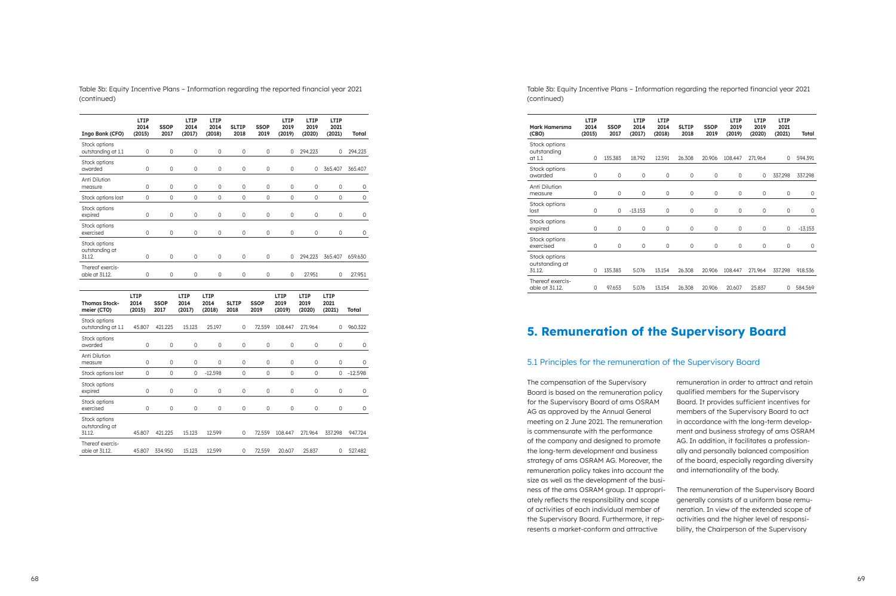Table 3b: Equity Incentive Plans – Information regarding the reported financial year 2021 (continued)

|                                           | <b>LTIP</b>            |                     | <b>LTIP</b>            | <b>LTIP</b>            |                      |                     | <b>LTIP</b>            | <b>LTIP</b>                   | LTIP                   |                     |
|-------------------------------------------|------------------------|---------------------|------------------------|------------------------|----------------------|---------------------|------------------------|-------------------------------|------------------------|---------------------|
| Ingo Bank (CFO)                           | 2014<br>(2015)         | <b>SSOP</b><br>2017 | 2014<br>(2017)         | 2014<br>(2018)         | <b>SLTIP</b><br>2018 | <b>SSOP</b><br>2019 | 2019<br>(2019)         | 2019<br>(2020)                | 2021<br>(2021)         | Total               |
| Stock options<br>outstanding at 1.1       | $\mathsf{O}\xspace$    | 0                   | 0                      | 0                      | $\mathbf 0$          | 0                   | 0                      | 294.223                       | 0                      | 294.223             |
| Stock options<br>awarded                  | $\mathbf 0$            | 0                   | 0                      | 0                      | 0                    | 0                   | 0                      | 0                             | 365.407                | 365.407             |
| Anti Dilution<br>measure                  | $\mathsf{O}\xspace$    | 0                   | 0                      | 0                      | 0                    | 0                   | 0                      | 0                             | 0                      | 0                   |
| Stock options lost                        | $\mathbf 0$            | 0                   | 0                      | 0                      | 0                    | 0                   | 0                      | 0                             | $\mathbf 0$            | $\mathsf{O}\xspace$ |
| Stock options<br>expired                  | $\mathbf 0$            | 0                   | 0                      | 0                      | 0                    | 0                   | 0                      | 0                             | $\mathbf 0$            | 0                   |
| Stock options<br>exercised                | $\mathsf{O}\xspace$    | 0                   | 0                      | 0                      | 0                    | 0                   | 0                      | 0                             | 0                      | 0                   |
| Stock options<br>outstanding at<br>31.12. | $\mathbf 0$            | 0                   | 0                      | 0                      | 0                    | 0                   | 0                      | 294.223                       | 365.407                | 659.630             |
| Thereof exercis-<br>able at 31.12.        | 0                      | 0                   | 0                      | 0                      | 0                    | 0                   | $\mathbf 0$            | 27.951                        | 0                      | 27.951              |
|                                           |                        |                     |                        |                        |                      |                     |                        |                               |                        |                     |
| <b>Thomas Stock-</b><br>meier (CTO)       | LTIP<br>2014<br>(2015) | <b>SSOP</b><br>2017 | LTIP<br>2014<br>(2017) | LTIP<br>2014<br>(2018) | <b>SLTIP</b><br>2018 | <b>SSOP</b><br>2019 | LTIP<br>2019<br>(2019) | <b>LTIP</b><br>2019<br>(2020) | LTIP<br>2021<br>(2021) | Total               |
| Stock options<br>outstanding at 1.1       | 45.807                 | 421.225             | 15.123                 | 25.197                 | 0                    | 72.559              | 108.447                | 271.964                       | 0                      | 960.322             |
| Stock options<br>awarded                  | $\mathsf{O}\xspace$    | 0                   | 0                      | 0                      | 0                    | 0                   | 0                      | 0                             | 0                      | 0                   |
| Anti Dilution<br>measure                  |                        |                     |                        |                        |                      |                     |                        |                               |                        |                     |
|                                           | $\mathbf 0$            | 0                   | 0                      | 0                      | 0                    | 0                   | 0                      | 0                             | 0                      | 0                   |
| Stock options lost                        | $\mathbf 0$            | 0                   | 0                      | $-12.598$              | 0                    | 0                   | 0                      | 0                             | 0                      | $-12.598$           |
| Stock options<br>expired                  | $\mathbf 0$            | 0                   | 0                      | 0                      | 0                    | 0                   | 0                      | 0                             | 0                      | 0                   |
| Stock options<br>exercised                | $\mathbf 0$            | 0                   | 0                      | 0                      | 0                    | 0                   | 0                      | 0                             | $\mathbf 0$            | $\mathsf O$         |
| Stock options<br>outstanding at<br>31.12. | 45.807                 | 421.225             | 15.123                 | 12.599                 | $\mathbf 0$          | 72.559              | 108.447                | 271.964                       | 337.298                | 947.724             |

Table 3b: Equity Incentive Plans – Information regarding the reported financial year 2021

(continued)

| Mark Hamersma<br>(CBO)                    | <b>LTIP</b><br>2014<br>(2015) | <b>SSOP</b><br>2017 | <b>LTIP</b><br>2014<br>(2017) | <b>LTIP</b><br>2014<br>(2018) | <b>SLTIP</b><br>2018 | <b>SSOP</b><br>2019 | LTIP<br>2019<br>(2019) | LTIP<br>2019<br>(2020) | <b>LTIP</b><br>2021<br>(2021) | Total       |
|-------------------------------------------|-------------------------------|---------------------|-------------------------------|-------------------------------|----------------------|---------------------|------------------------|------------------------|-------------------------------|-------------|
| Stock options<br>outstanding<br>at 1.1    | 0                             | 135.383             | 18.792                        | 12.591                        | 26.308               | 20.906              | 108.447                | 271.964                | $\Omega$                      | 594.391     |
| Stock options<br>awarded                  | 0                             | 0                   | $\mathbf 0$                   | 0                             | 0                    | 0                   | 0                      | 0                      | 337.298                       | 337.298     |
| Anti Dilution<br>measure                  | 0                             | 0                   | 0                             | 0                             | 0                    | 0                   | 0                      | 0                      | 0                             | 0           |
| Stock options<br>lost                     | 0                             | $\mathbf 0$         | $-13.153$                     | 0                             | 0                    | $\mathbf 0$         | 0                      | 0                      | $\mathbf 0$                   | $\mathbf 0$ |
| Stock options<br>expired                  | 0                             | $\mathbf 0$         | $\mathbf 0$                   | 0                             | 0                    | $\mathbf 0$         | 0                      | 0                      | $\mathbf 0$                   | $-13.153$   |
| Stock options<br>exercised                | 0                             | 0                   | $\mathsf{O}\xspace$           | 0                             | 0                    | $\mathbf 0$         | 0                      | 0                      | $\mathbf 0$                   | 0           |
| Stock options<br>outstanding at<br>31.12. | 0                             | 135.383             | 5.076                         | 13.154                        | 26.308               | 20.906              | 108.447                | 271.964                | 337.298                       | 918.536     |
| Thereof exercis-<br>able at 31.12.        | 0                             | 97.653              | 5.076                         | 13.154                        | 26.308               | 20.906              | 20.607                 | 25.837                 | 0                             | 584.569     |

## **5. Remuneration of the Supervisory Board**

### 5.1 Principles for the remuneration of the Supervisory Board

The compensation of the Supervisory Board is based on the remuneration policy for the Supervisory Board of ams OSRAM AG as approved by the Annual General meeting on 2 June 2021. The remuneration is commensurate with the performance of the company and designed to promote the long-term development and business strategy of ams OSRAM AG. Moreover, the remuneration policy takes into account the size as well as the development of the business of the ams OSRAM group. It appropriately reflects the responsibility and scope of activities of each individual member of the Supervisory Board. Furthermore, it represents a market-conform and attractive remuneration in order to attract and retain qualified members for the Supervisory Board. It provides sufficient incentives for members of the Supervisory Board to act in accordance with the long-term development and business strategy of ams OSRAM AG. In addition, it facilitates a professionally and personally balanced composition of the board, especially regarding diversity and internationality of the body. The remuneration of the Supervisory Board generally consists of a uniform base remuneration. In view of the extended scope of activities and the higher level of responsibility, the Chairperson of the Supervisory